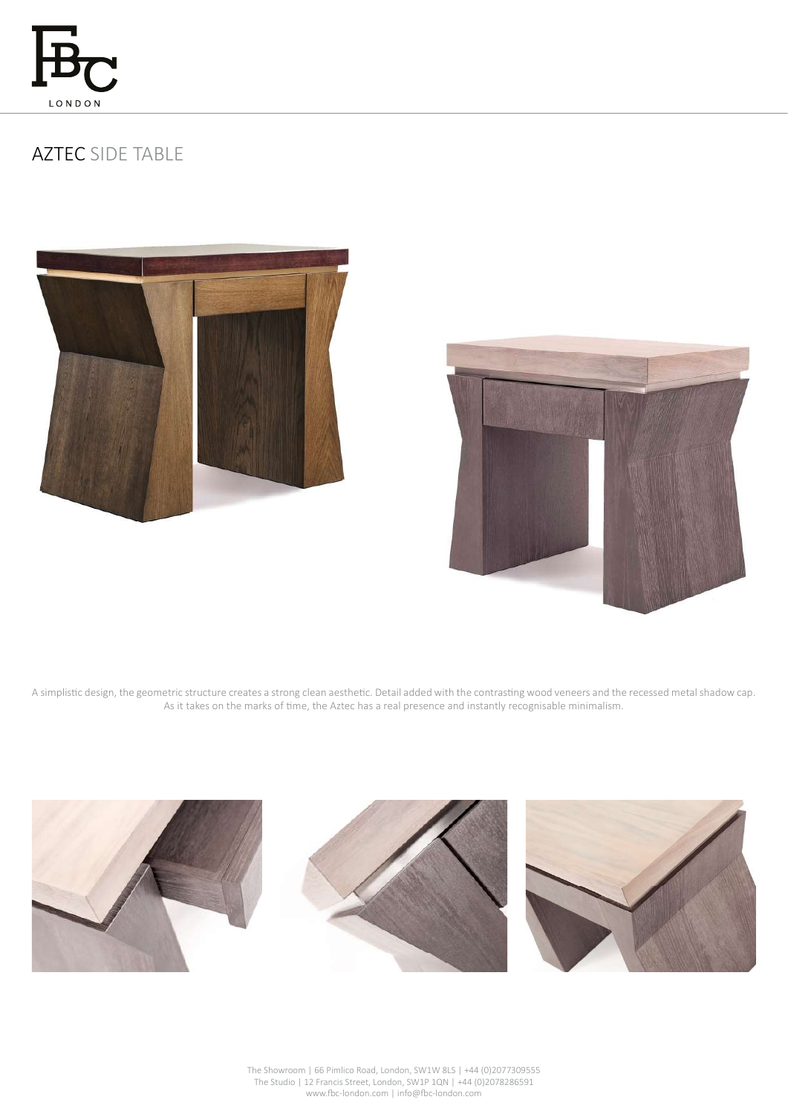

## AZTEC SIDE TABLE





A simplistic design, the geometric structure creates a strong clean aesthetic. Detail added with the contrasting wood veneers and the recessed metal shadow cap. As it takes on the marks of time, the Aztec has a real presence and instantly recognisable minimalism.